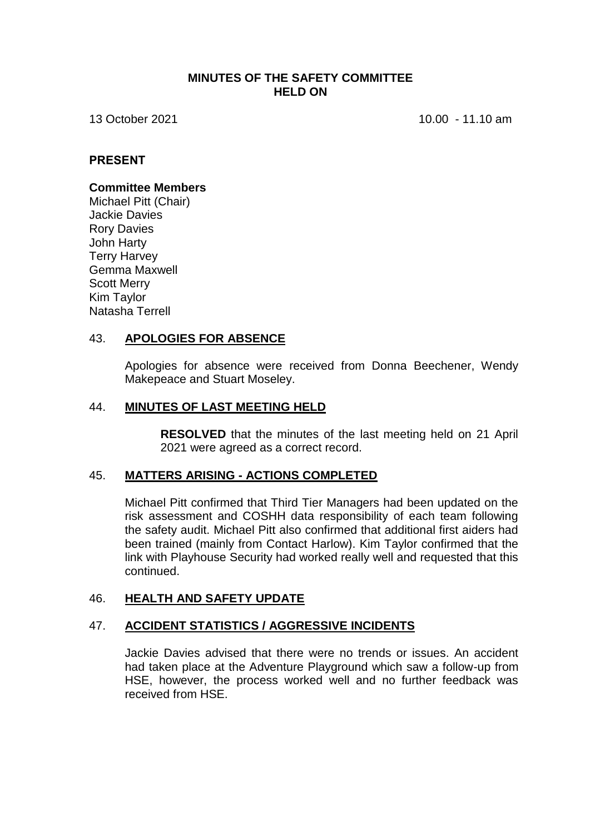### **MINUTES OF THE SAFETY COMMITTEE HELD ON**

13 October 2021 **10.00 - 11.10 am** 

### **PRESENT**

### **Committee Members**

Michael Pitt (Chair) Jackie Davies Rory Davies John Harty Terry Harvey Gemma Maxwell Scott Merry Kim Taylor Natasha Terrell

### 43. **APOLOGIES FOR ABSENCE**

Apologies for absence were received from Donna Beechener, Wendy Makepeace and Stuart Moseley.

#### 44. **MINUTES OF LAST MEETING HELD**

**RESOLVED** that the minutes of the last meeting held on 21 April 2021 were agreed as a correct record.

### 45. **MATTERS ARISING - ACTIONS COMPLETED**

Michael Pitt confirmed that Third Tier Managers had been updated on the risk assessment and COSHH data responsibility of each team following the safety audit. Michael Pitt also confirmed that additional first aiders had been trained (mainly from Contact Harlow). Kim Taylor confirmed that the link with Playhouse Security had worked really well and requested that this continued.

### 46. **HEALTH AND SAFETY UPDATE**

### 47. **ACCIDENT STATISTICS / AGGRESSIVE INCIDENTS**

Jackie Davies advised that there were no trends or issues. An accident had taken place at the Adventure Playground which saw a follow-up from HSE, however, the process worked well and no further feedback was received from HSE.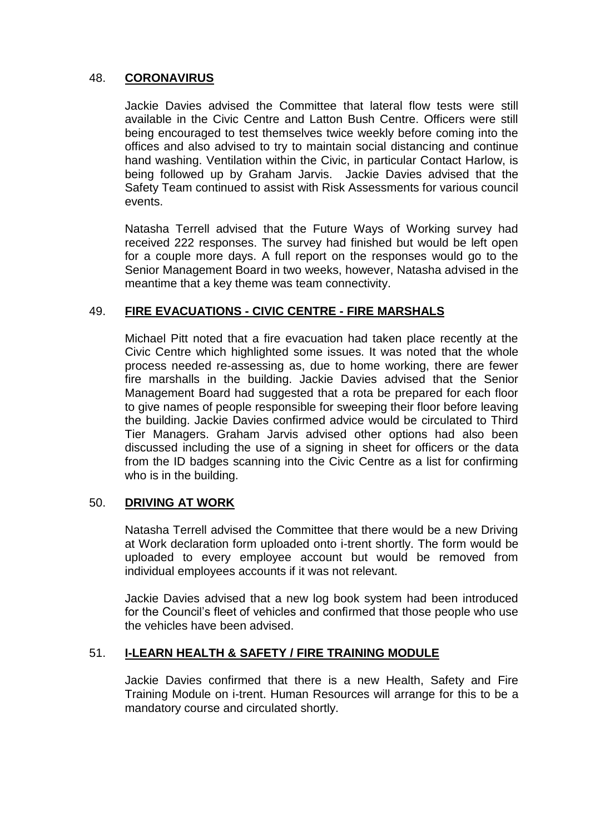# 48. **CORONAVIRUS**

Jackie Davies advised the Committee that lateral flow tests were still available in the Civic Centre and Latton Bush Centre. Officers were still being encouraged to test themselves twice weekly before coming into the offices and also advised to try to maintain social distancing and continue hand washing. Ventilation within the Civic, in particular Contact Harlow, is being followed up by Graham Jarvis. Jackie Davies advised that the Safety Team continued to assist with Risk Assessments for various council events.

Natasha Terrell advised that the Future Ways of Working survey had received 222 responses. The survey had finished but would be left open for a couple more days. A full report on the responses would go to the Senior Management Board in two weeks, however, Natasha advised in the meantime that a key theme was team connectivity.

# 49. **FIRE EVACUATIONS - CIVIC CENTRE - FIRE MARSHALS**

Michael Pitt noted that a fire evacuation had taken place recently at the Civic Centre which highlighted some issues. It was noted that the whole process needed re-assessing as, due to home working, there are fewer fire marshalls in the building. Jackie Davies advised that the Senior Management Board had suggested that a rota be prepared for each floor to give names of people responsible for sweeping their floor before leaving the building. Jackie Davies confirmed advice would be circulated to Third Tier Managers. Graham Jarvis advised other options had also been discussed including the use of a signing in sheet for officers or the data from the ID badges scanning into the Civic Centre as a list for confirming who is in the building.

# 50. **DRIVING AT WORK**

Natasha Terrell advised the Committee that there would be a new Driving at Work declaration form uploaded onto i-trent shortly. The form would be uploaded to every employee account but would be removed from individual employees accounts if it was not relevant.

Jackie Davies advised that a new log book system had been introduced for the Council's fleet of vehicles and confirmed that those people who use the vehicles have been advised.

# 51. **I-LEARN HEALTH & SAFETY / FIRE TRAINING MODULE**

Jackie Davies confirmed that there is a new Health, Safety and Fire Training Module on i-trent. Human Resources will arrange for this to be a mandatory course and circulated shortly.